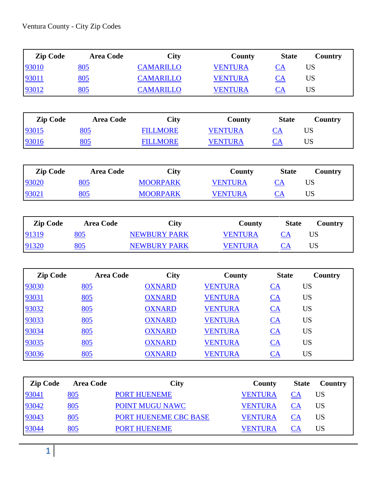| <b>Zip Code</b> | <b>Area Code</b> | City             | <b>County</b>  | <b>State</b> | Country |
|-----------------|------------------|------------------|----------------|--------------|---------|
| 93010           | <u>805</u>       | <b>CAMARILLO</b> | <b>VENTURA</b> | <b>CA</b>    |         |
| 93011           | 805              | <b>CAMARILLO</b> | <b>VENTURA</b> | CА           | US      |
| 93012           | <u>805</u>       | <b>CAMARILLO</b> | <b>VENTURA</b> | <b>CA</b>    | US      |

| <b>Zip Code</b> | <b>Area Code</b> | <b>City</b>     | <b>County</b> | <b>State</b>             | Country |
|-----------------|------------------|-----------------|---------------|--------------------------|---------|
| 93015           | <u>805</u>       | <b>FILLMORE</b> | VENTURA       | $\mathcal{C} \mathsf{A}$ | US      |
| 93016           | <u>805</u>       | <b>FILLMORE</b> | VENTURA       | $\cup$ A                 | US      |

| <b>Zip Code</b> | <b>Area Code</b> | <b>City</b>     | County         | <b>State</b> | Country |
|-----------------|------------------|-----------------|----------------|--------------|---------|
| 93020           | <u>805</u>       | <b>MOORPARK</b> | <b>VENTURA</b> | <u>CA</u>    | US      |
| 93021           | <u>805</u>       | <b>MOORPARK</b> | VENTURA        | <b>CA</b>    | US      |

| <b>Zip Code</b> | <b>Area Code</b> | <b>City</b>         | County     | <b>State</b> | Country |
|-----------------|------------------|---------------------|------------|--------------|---------|
| 91319           | <u>805</u>       | <b>NEWBURY PARK</b> | VENTURA    | СA           | US      |
| 91320           | 805              | <b>NEWBURY PARK</b> | VENTI IR A |              | US      |

| <b>Zip Code</b> | <b>Area Code</b> | <b>City</b>   | <b>County</b>  | <b>State</b>     | <b>Country</b> |
|-----------------|------------------|---------------|----------------|------------------|----------------|
| 93030           | <u>805</u>       | <b>OXNARD</b> | <b>VENTURA</b> | $\underline{CA}$ | <b>US</b>      |
| 93031           | <u>805</u>       | <b>OXNARD</b> | <b>VENTURA</b> | $CA$             | <b>US</b>      |
| 93032           | <u>805</u>       | <b>OXNARD</b> | <b>VENTURA</b> | $CA$             | <b>US</b>      |
| 93033           | <u>805</u>       | <b>OXNARD</b> | <b>VENTURA</b> | $CA$             | <b>US</b>      |
| 93034           | <u>805</u>       | <b>OXNARD</b> | <b>VENTURA</b> | $CA$             | <b>US</b>      |
| 93035           | <u>805</u>       | <b>OXNARD</b> | <b>VENTURA</b> | $CA$             | <b>US</b>      |
| 93036           | <u>805</u>       | <b>OXNARD</b> | <b>VENTURA</b> | $\underline{CA}$ | <b>US</b>      |

| <b>Zip Code</b> | <b>Area Code</b> | <b>City</b>           | County         | <b>State</b> | Country |
|-----------------|------------------|-----------------------|----------------|--------------|---------|
| 93041           | 805              | <b>PORT HUENEME</b>   | <b>VENTURA</b> |              | US      |
| 93042           | 805              | POINT MUGU NAWC       | <b>VENTURA</b> | СA           | US      |
| 93043           | 805              | PORT HUENEME CBC BASE | <b>VENTURA</b> | CА           | US      |
| 93044           | 805              | <b>PORT HUENEME</b>   | VENTURA        |              | US      |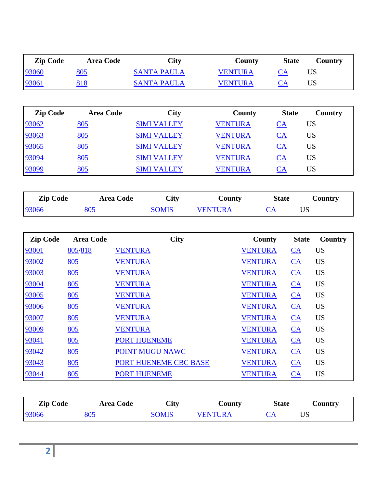| <b>Zip Code</b> | <b>Area Code</b> | <b>City</b>        | <b>County</b>  | <b>State</b>     | Country   |
|-----------------|------------------|--------------------|----------------|------------------|-----------|
| 93060           | <u>805</u>       | <b>SANTA PAULA</b> | <b>VENTURA</b> | $CA$             | <b>US</b> |
| 93061           | 818              | <b>SANTA PAULA</b> | <b>VENTURA</b> | $\underline{CA}$ | <b>US</b> |
|                 |                  |                    |                |                  |           |
| <b>Zip Code</b> | <b>Area Code</b> | <b>City</b>        | County         | <b>State</b>     | Country   |
| 93062           | <u>805</u>       | <b>SIMI VALLEY</b> | <b>VENTURA</b> | $CA$             | <b>US</b> |
| 93063           | 805              | <b>SIMI VALLEY</b> | <b>VENTURA</b> | $CA$             | <b>US</b> |
| 93065           | 805              | <b>SIMI VALLEY</b> | <b>VENTURA</b> | $CA$             | <b>US</b> |
| 93094           | 805              | <b>SIMI VALLEY</b> | <b>VENTURA</b> | $CA$             | <b>US</b> |
| 93099           | 805              | <b>SIMI VALLEY</b> | <b>VENTURA</b> | $CA$             | <b>US</b> |

| <b>Zip Code</b> |                  | <b>Area Code</b>    | <b>City</b>           | County         | <b>State</b>   |                  | Country   |
|-----------------|------------------|---------------------|-----------------------|----------------|----------------|------------------|-----------|
| 93066           | 805              |                     | <b>SOMIS</b>          | <b>VENTURA</b> | $CA$           | <b>US</b>        |           |
|                 |                  |                     |                       |                |                |                  |           |
| <b>Zip Code</b> | <b>Area Code</b> |                     | <b>City</b>           |                | County         | <b>State</b>     | Country   |
| 93001           | 805/818          | <b>VENTURA</b>      |                       |                | <b>VENTURA</b> | $CA$             | <b>US</b> |
| 93002           | 805              | <b>VENTURA</b>      |                       |                | <b>VENTURA</b> | CA               | <b>US</b> |
| 93003           | 805              | <b>VENTURA</b>      |                       |                | <b>VENTURA</b> | CA               | <b>US</b> |
| 93004           | 805              | <b>VENTURA</b>      |                       |                | <b>VENTURA</b> | $CA$             | <b>US</b> |
| 93005           | 805              | <b>VENTURA</b>      |                       |                | <b>VENTURA</b> | $CA$             | <b>US</b> |
| 93006           | 805              | <b>VENTURA</b>      |                       |                | <b>VENTURA</b> | CA               | <b>US</b> |
| 93007           | 805              | <b>VENTURA</b>      |                       |                | <b>VENTURA</b> | CA               | <b>US</b> |
| 93009           | 805              | <b>VENTURA</b>      |                       |                | <b>VENTURA</b> | CA               | <b>US</b> |
| 93041           | 805              | <b>PORT HUENEME</b> |                       |                | <b>VENTURA</b> | CA               | <b>US</b> |
| 93042           | 805              |                     | POINT MUGU NAWC       |                | <b>VENTURA</b> | $\underline{CA}$ | <b>US</b> |
| 93043           | 805              |                     | PORT HUENEME CBC BASE |                | <b>VENTURA</b> | CA               | <b>US</b> |
| 93044           | 805              | <b>PORT HUENEME</b> |                       |                | <b>VENTURA</b> | CA               | <b>US</b> |

| <b>Zip Code</b> | <b>Area Code</b> | City         | County     | <b>State</b> | Country |
|-----------------|------------------|--------------|------------|--------------|---------|
| 93066           | 805              | <b>SOMIS</b> | JENTI IR A |              | US      |